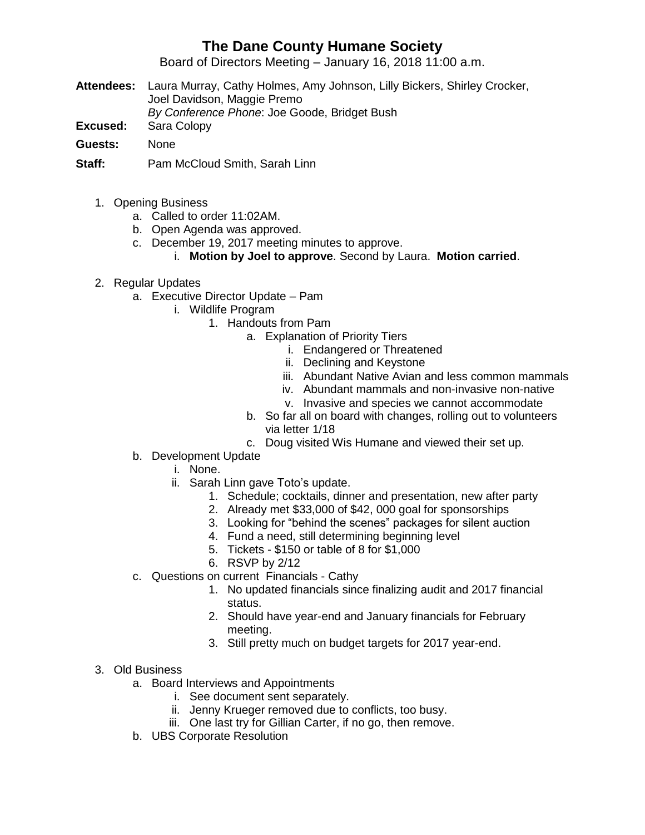## **The Dane County Humane Society**

Board of Directors Meeting – January 16, 2018 11:00 a.m.

- **Attendees:** Laura Murray, Cathy Holmes, Amy Johnson, Lilly Bickers, Shirley Crocker, Joel Davidson, Maggie Premo *By Conference Phone*: Joe Goode, Bridget Bush
- **Excused:** Sara Colopy
- **Guests:** None
- **Staff:** Pam McCloud Smith, Sarah Linn
	- 1. Opening Business
		- a. Called to order 11:02AM.
		- b. Open Agenda was approved.
		- c. December 19, 2017 meeting minutes to approve.
			- i. **Motion by Joel to approve**. Second by Laura. **Motion carried**.
	- 2. Regular Updates
		- a. Executive Director Update Pam
			- i. Wildlife Program
				- 1. Handouts from Pam
					- a. Explanation of Priority Tiers
						- i. Endangered or Threatened
						- ii. Declining and Keystone
						- iii. Abundant Native Avian and less common mammals
						- iv. Abundant mammals and non-invasive non-native
						- v. Invasive and species we cannot accommodate
					- b. So far all on board with changes, rolling out to volunteers via letter 1/18
					- c. Doug visited Wis Humane and viewed their set up.
		- b. Development Update
			- i. None.
			- ii. Sarah Linn gave Toto's update.
				- 1. Schedule; cocktails, dinner and presentation, new after party
				- 2. Already met \$33,000 of \$42, 000 goal for sponsorships
				- 3. Looking for "behind the scenes" packages for silent auction
				- 4. Fund a need, still determining beginning level
				- 5. Tickets \$150 or table of 8 for \$1,000
				- 6. RSVP by 2/12
		- c. Questions on current Financials Cathy
			- 1. No updated financials since finalizing audit and 2017 financial status.
			- 2. Should have year-end and January financials for February meeting.
			- 3. Still pretty much on budget targets for 2017 year-end.

## 3. Old Business

- a. Board Interviews and Appointments
	- i. See document sent separately.
	- ii. Jenny Krueger removed due to conflicts, too busy.
	- iii. One last try for Gillian Carter, if no go, then remove.
- b. UBS Corporate Resolution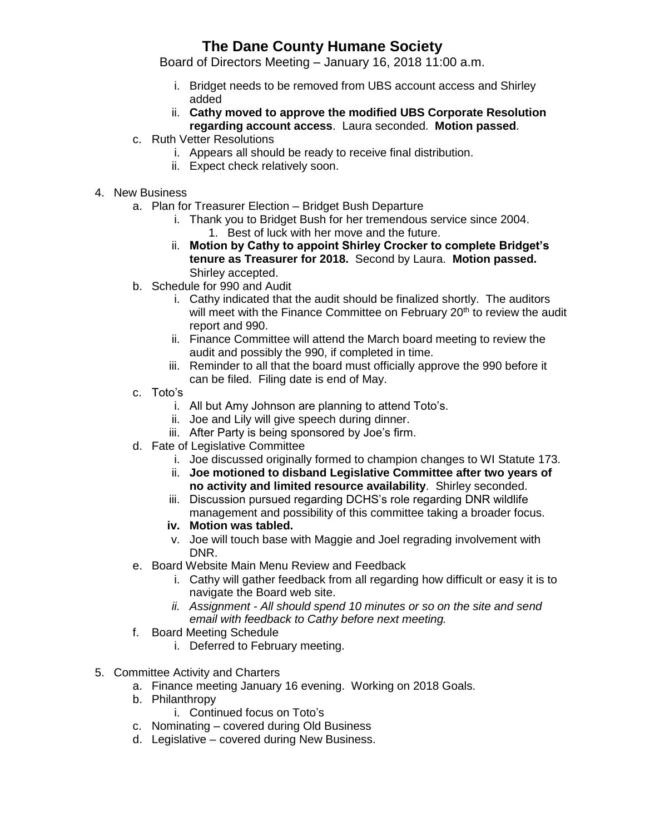## **The Dane County Humane Society**

Board of Directors Meeting – January 16, 2018 11:00 a.m.

- i. Bridget needs to be removed from UBS account access and Shirley added
- ii. **Cathy moved to approve the modified UBS Corporate Resolution regarding account access**. Laura seconded. **Motion passed**.
- c. Ruth Vetter Resolutions
	- i. Appears all should be ready to receive final distribution.
	- ii. Expect check relatively soon.
- 4. New Business
	- a. Plan for Treasurer Election Bridget Bush Departure
		- i. Thank you to Bridget Bush for her tremendous service since 2004.
			- 1. Best of luck with her move and the future.
		- ii. **Motion by Cathy to appoint Shirley Crocker to complete Bridget's tenure as Treasurer for 2018.** Second by Laura. **Motion passed.** Shirley accepted.
	- b. Schedule for 990 and Audit
		- i. Cathy indicated that the audit should be finalized shortly. The auditors will meet with the Finance Committee on February 20<sup>th</sup> to review the audit report and 990.
		- ii. Finance Committee will attend the March board meeting to review the audit and possibly the 990, if completed in time.
		- iii. Reminder to all that the board must officially approve the 990 before it can be filed. Filing date is end of May.
	- c. Toto's
		- i. All but Amy Johnson are planning to attend Toto's.
		- ii. Joe and Lily will give speech during dinner.
		- iii. After Party is being sponsored by Joe's firm.
	- d. Fate of Legislative Committee
		- i. Joe discussed originally formed to champion changes to WI Statute 173.
		- ii. **Joe motioned to disband Legislative Committee after two years of no activity and limited resource availability**. Shirley seconded.
		- iii. Discussion pursued regarding DCHS's role regarding DNR wildlife management and possibility of this committee taking a broader focus.
		- **iv. Motion was tabled.**
		- v. Joe will touch base with Maggie and Joel regrading involvement with DNR.
	- e. Board Website Main Menu Review and Feedback
		- i. Cathy will gather feedback from all regarding how difficult or easy it is to navigate the Board web site.
		- *ii. Assignment - All should spend 10 minutes or so on the site and send email with feedback to Cathy before next meeting.*
	- f. Board Meeting Schedule
		- i. Deferred to February meeting.
- 5. Committee Activity and Charters
	- a. Finance meeting January 16 evening. Working on 2018 Goals.
	- b. Philanthropy
		- i. Continued focus on Toto's
	- c. Nominating covered during Old Business
	- d. Legislative covered during New Business.